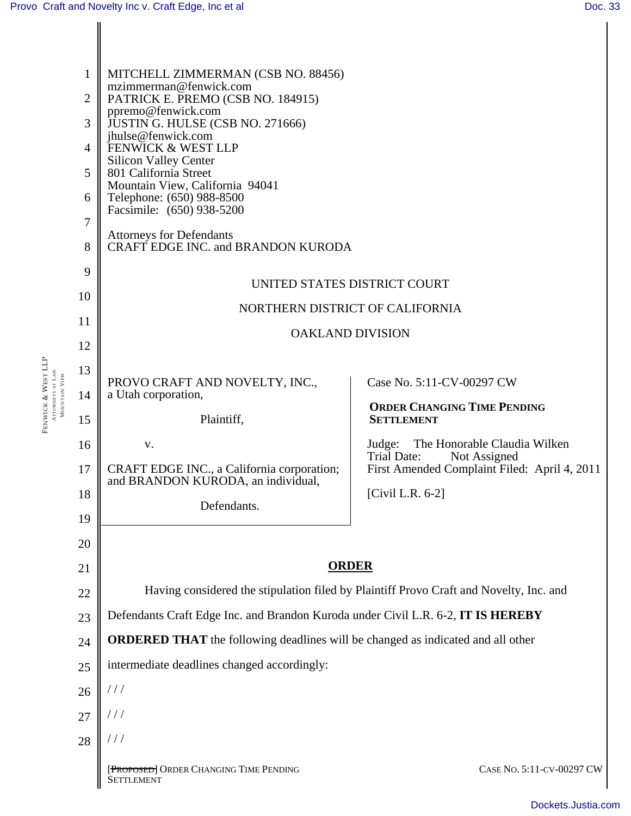FENWICK &

WEST LLP

ATTORNEYS AT LAW MOUNTAIN VIEW

| 1              | MITCHELL ZIMMERMAN (CSB NO. 88456)                                                     |                                                                                        |  |
|----------------|----------------------------------------------------------------------------------------|----------------------------------------------------------------------------------------|--|
| $\overline{2}$ | mzimmerman@fenwick.com<br>PATRICK E. PREMO (CSB NO. 184915)                            |                                                                                        |  |
| 3              | ppremo@fenwick.com<br>JUSTIN G. HULSE (CSB NO. 271666)                                 |                                                                                        |  |
| 4              | jhulse@fenwick.com<br>FENWICK & WEST LLP                                               |                                                                                        |  |
| 5              | <b>Silicon Valley Center</b><br>801 California Street                                  |                                                                                        |  |
| 6              | Mountain View, California 94041<br>Telephone: (650) 988-8500                           |                                                                                        |  |
| 7              | Facsimile: (650) 938-5200                                                              |                                                                                        |  |
| 8              | <b>Attorneys for Defendants</b><br>CRAFT EDGE INC. and BRANDON KURODA                  |                                                                                        |  |
| 9              | UNITED STATES DISTRICT COURT                                                           |                                                                                        |  |
| 10             |                                                                                        |                                                                                        |  |
| 11             |                                                                                        | NORTHERN DISTRICT OF CALIFORNIA<br><b>OAKLAND DIVISION</b>                             |  |
| 12             |                                                                                        |                                                                                        |  |
| 13             | PROVO CRAFT AND NOVELTY, INC.,                                                         | Case No. 5:11-CV-00297 CW                                                              |  |
| 14             | a Utah corporation,                                                                    | <b>ORDER CHANGING TIME PENDING</b>                                                     |  |
| 15             | Plaintiff,                                                                             | <b>SETTLEMENT</b>                                                                      |  |
| 16             | V.                                                                                     | The Honorable Claudia Wilken<br>Judge:<br>Trial Date:<br>Not Assigned                  |  |
| 17             | CRAFT EDGE INC., a California corporation;<br>and BRANDON KURODA, an individual,       | First Amended Complaint Filed: April 4, 2011                                           |  |
| 18             | Defendants.                                                                            | [Civil L.R. 6-2]                                                                       |  |
| 19             |                                                                                        |                                                                                        |  |
| 20             |                                                                                        |                                                                                        |  |
| 21             | <b>ORDER</b>                                                                           |                                                                                        |  |
| 22             | Having considered the stipulation filed by Plaintiff Provo Craft and Novelty, Inc. and |                                                                                        |  |
| 23             | Defendants Craft Edge Inc. and Brandon Kuroda under Civil L.R. 6-2, IT IS HEREBY       |                                                                                        |  |
| 24             |                                                                                        | <b>ORDERED THAT</b> the following deadlines will be changed as indicated and all other |  |
| 25             | intermediate deadlines changed accordingly:                                            |                                                                                        |  |
| 26             | //                                                                                     |                                                                                        |  |
| 27             | $\frac{1}{2}$                                                                          |                                                                                        |  |
| 28             | ///                                                                                    |                                                                                        |  |
|                | [PROPOSED] ORDER CHANGING TIME PENDING<br>SETTLEMENT                                   | CASE No. 5:11-CV-00297 CW                                                              |  |